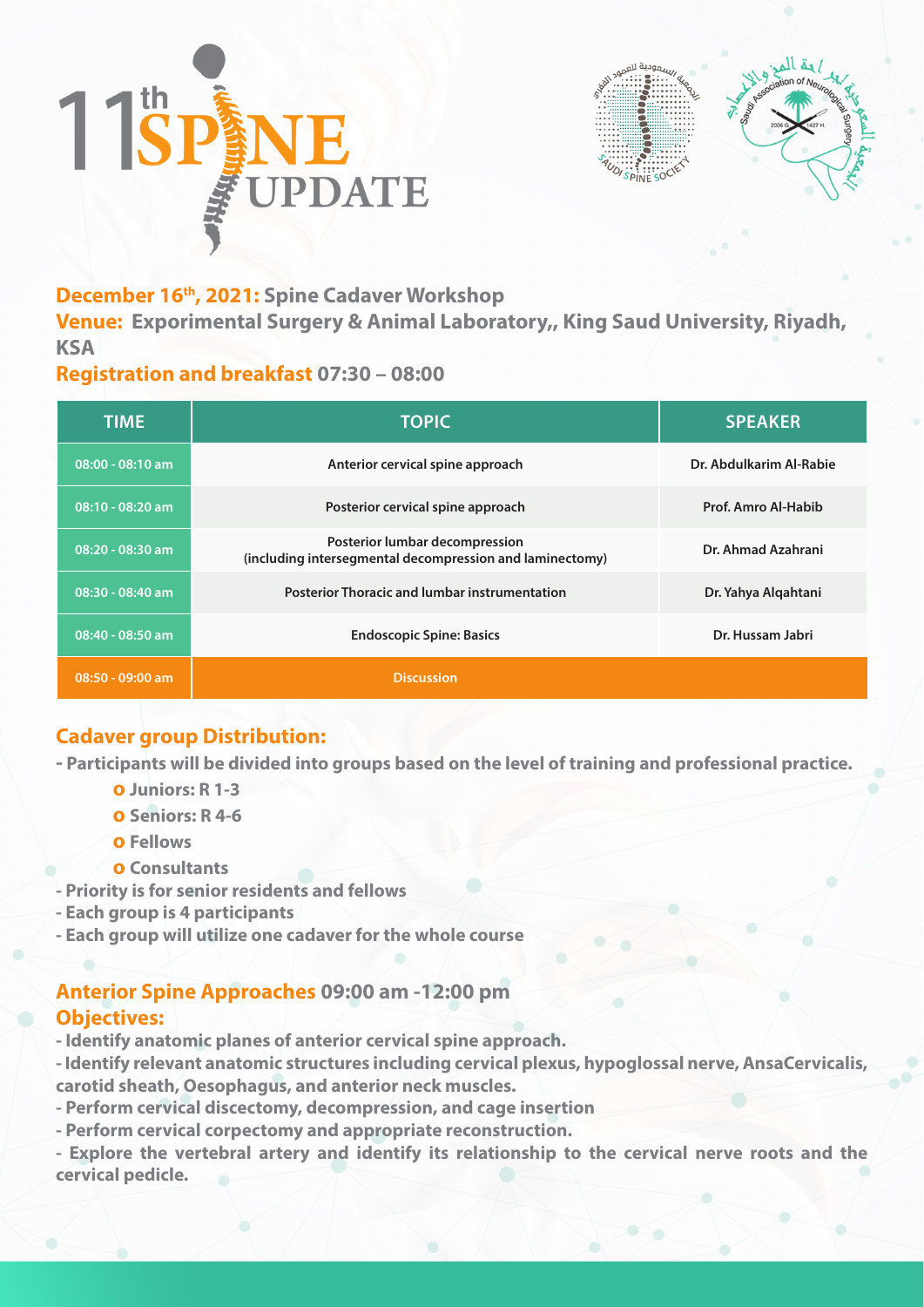



## **December 16th, 2021: Spine Cadaver Workshop**

**Venue: Exporimental Surgery & Animal Laboratory,, King Saud University, Riyadh, KSA**

### **Registration and breakfast 07:30 – 08:00**

| <b>TIME</b>        | <b>TOPIC</b>                                                                               | <b>SPEAKER</b>          |
|--------------------|--------------------------------------------------------------------------------------------|-------------------------|
| $08:00 - 08:10$ am | Anterior cervical spine approach                                                           | Dr. Abdulkarim Al-Rabie |
| 08:10 - 08:20 am   | Posterior cervical spine approach                                                          | Prof. Amro Al-Habib     |
| 08:20 - 08:30 am   | Posterior lumbar decompression<br>(including intersegmental decompression and laminectomy) | Dr. Ahmad Azahrani      |
| 08:30 - 08:40 am   | <b>Posterior Thoracic and lumbar instrumentation</b>                                       | Dr. Yahya Algahtani     |
| 08:40 - 08:50 am   | <b>Endoscopic Spine: Basics</b>                                                            | Dr. Hussam Jabri        |
| $08:50 - 09:00$ am | <b>Discussion</b>                                                                          |                         |

# **Cadaver group Distribution:**

**- Participants will be divided into groups based on the level of training and professional practice.**

- **o Juniors: R 1-3**
- **o Seniors: R 4-6**
- **o Fellows**
- **o Consultants**
- **Priority is for senior residents and fellows**
- **Each group is 4 participants**
- **Each group will utilize one cadaver for the whole course**

## **Anterior Spine Approaches 09:00 am -12:00 pm Objectives:**

- **Identify anatomic planes of anterior cervical spine approach.**
- **Identify relevant anatomic structures including cervical plexus, hypoglossal nerve, AnsaCervicalis,**
- **carotid sheath, Oesophagus, and anterior neck muscles.**
- **Perform cervical discectomy, decompression, and cage insertion**
- **Perform cervical corpectomy and appropriate reconstruction.**
- **Explore the vertebral artery and identify its relationship to the cervical nerve roots and the cervical pedicle.**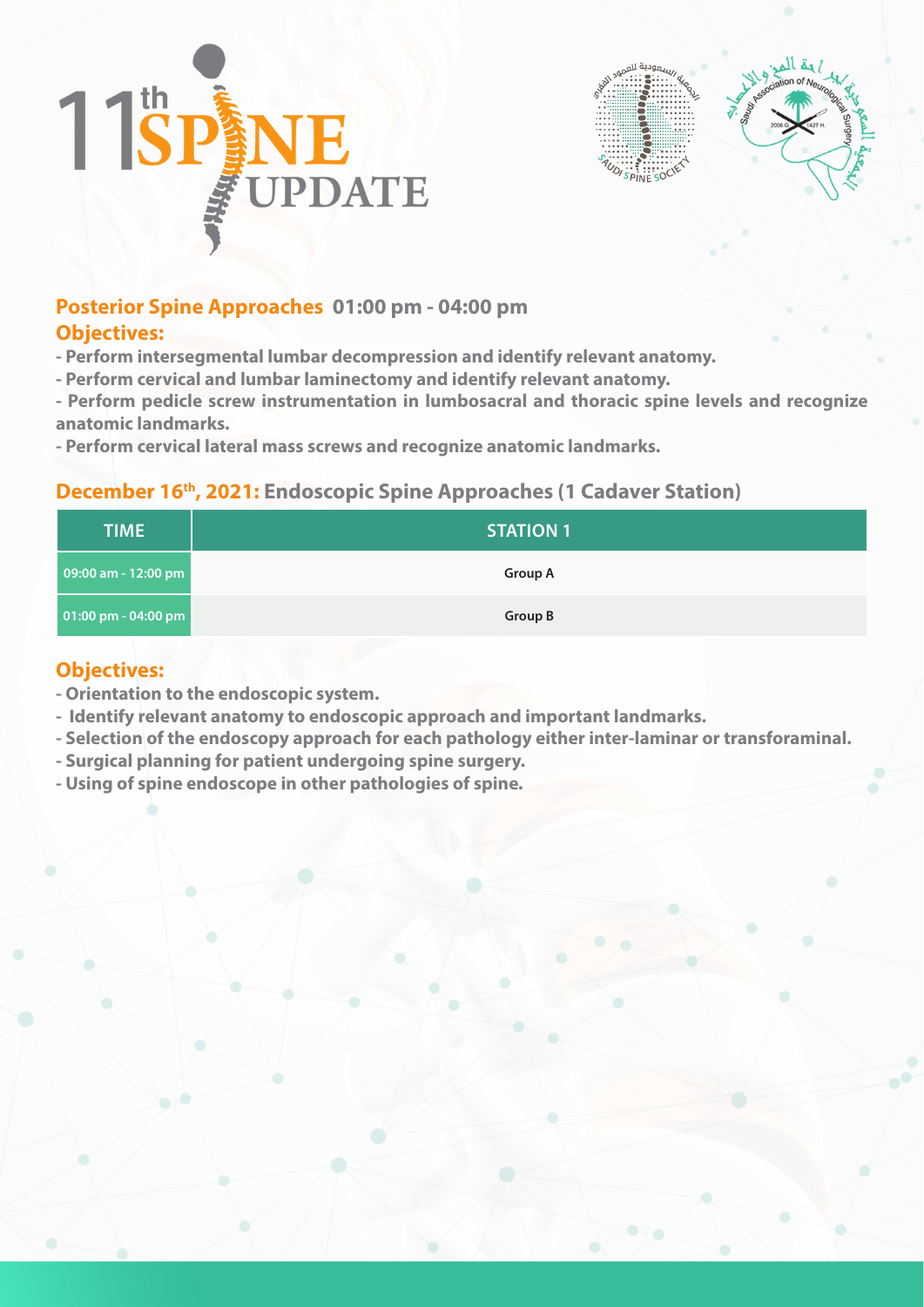



### **Posterior Spine Approaches 01:00 pm - 04:00 pm Objectives:**

- **Perform intersegmental lumbar decompression and identify relevant anatomy.**
- **Perform cervical and lumbar laminectomy and identify relevant anatomy.**
- **Perform pedicle screw instrumentation in lumbosacral and thoracic spine levels and recognize anatomic landmarks.**
- **Perform cervical lateral mass screws and recognize anatomic landmarks.**

#### **December 16th, 2021: Endoscopic Spine Approaches (1 Cadaver Station)**

| <b>TIME</b>         | <b>STATION 1</b> |
|---------------------|------------------|
| 09:00 am - 12:00 pm | <b>Group A</b>   |
| 01:00 pm - 04:00 pm | <b>Group B</b>   |

#### **Objectives:**

- **Orientation to the endoscopic system.**
- **Identify relevant anatomy to endoscopic approach and important landmarks.**
- **Selection of the endoscopy approach for each pathology either inter-laminar or transforaminal.**
- **Surgical planning for patient undergoing spine surgery.**
- **Using of spine endoscope in other pathologies of spine.**